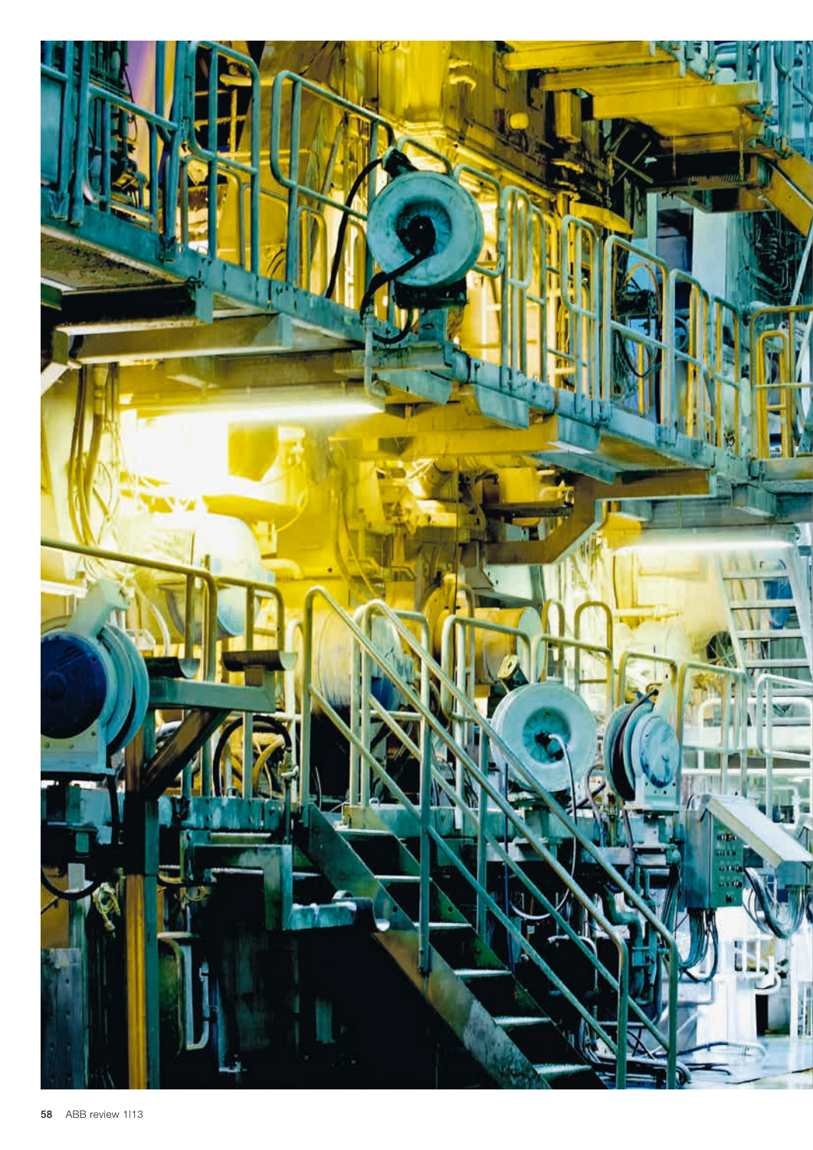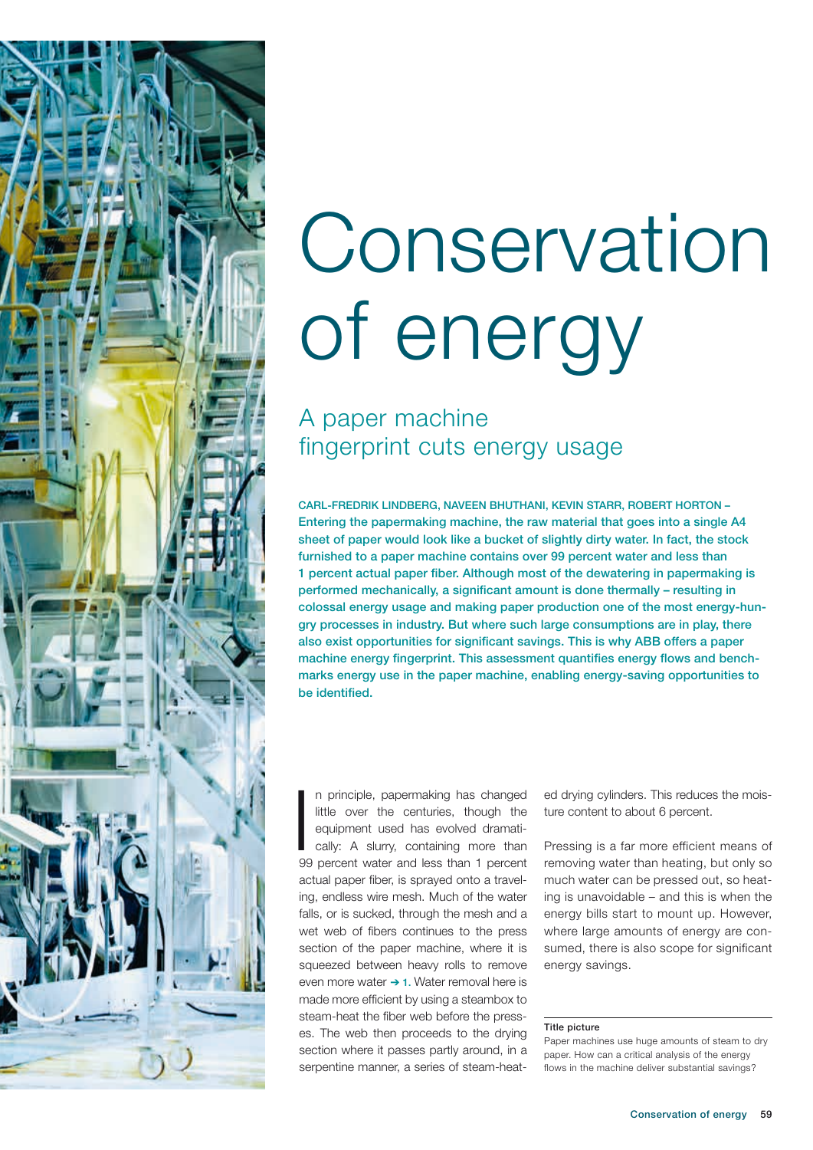

# Conservation of energy

# A paper machine fingerprint cuts energy usage

CARL-FREDRIK LINDBERG, NAVEEN BHUTHANI, KEVIN STARR, ROBERT HORTON – Entering the papermaking machine, the raw material that goes into a single A4 sheet of paper would look like a bucket of slightly dirty water. In fact, the stock furnished to a paper machine contains over 99 percent water and less than 1 percent actual paper fiber. Although most of the dewatering in papermaking is performed mechanically, a significant amount is done thermally – resulting in colossal energy usage and making paper production one of the most energy-hungry processes in industry. But where such large consumptions are in play, there also exist opportunities for significant savings. This is why ABB offers a paper machine energy fingerprint. This assessment quantifies energy flows and benchmarks energy use in the paper machine, enabling energy-saving opportunities to be identified.

In principle, papermaking has changed<br>little over the centuries, though the<br>equipment used has evolved dramati-<br>cally: A slurry, containing more than<br>99 percent water and less than 1 percent n principle, papermaking has changed little over the centuries, though the equipment used has evolved dramatically: A slurry, containing more than actual paper fiber, is sprayed onto a traveling, endless wire mesh. Much of the water falls, or is sucked, through the mesh and a wet web of fibers continues to the press section of the paper machine, where it is squeezed between heavy rolls to remove even more water → 1. Water removal here is made more efficient by using a steambox to steam-heat the fiber web before the presses. The web then proceeds to the drying section where it passes partly around, in a serpentine manner, a series of steam-heat-

ed drying cylinders. This reduces the moisture content to about 6 percent.

Pressing is a far more efficient means of removing water than heating, but only so much water can be pressed out, so heating is unavoidable – and this is when the energy bills start to mount up. However, where large amounts of energy are consumed, there is also scope for significant energy savings.

# Title picture

Paper machines use huge amounts of steam to dry paper. How can a critical analysis of the energy flows in the machine deliver substantial savings?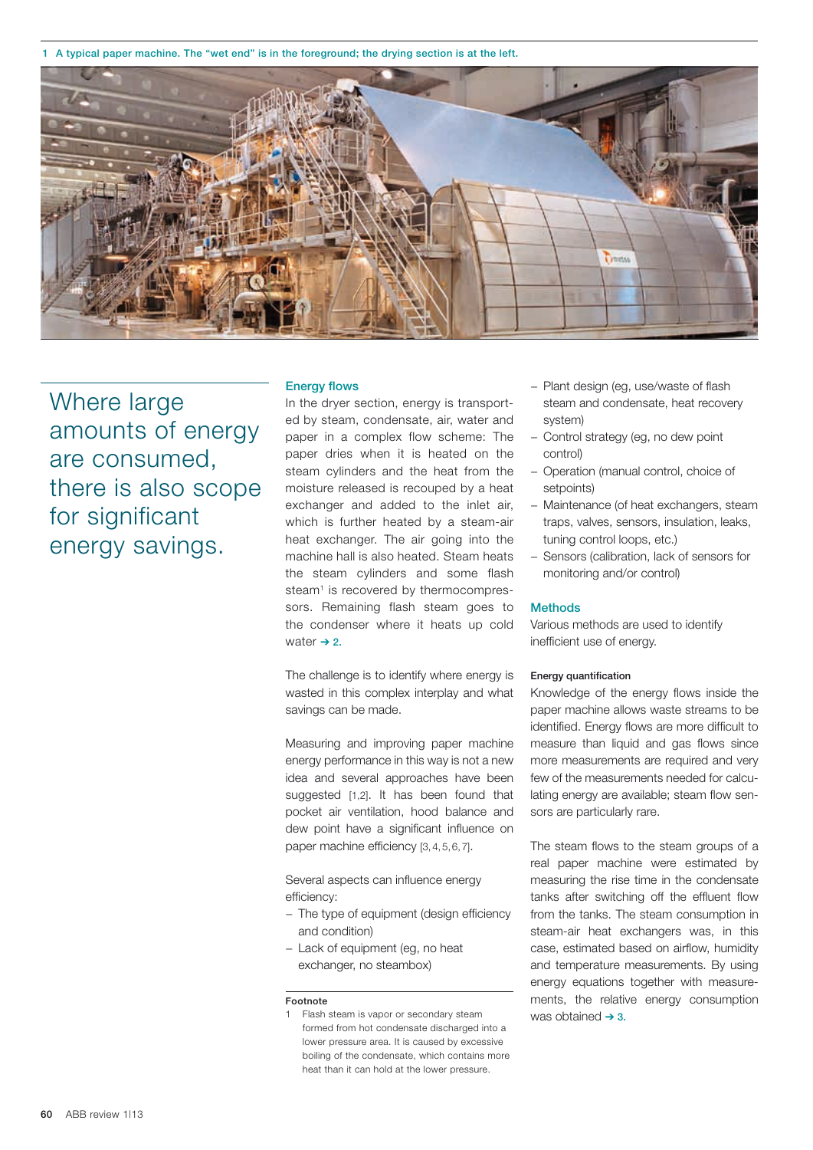1 A typical paper machine. The "wet end" is in the foreground; the drying section is at the left.



Where large amounts of energy are consumed, there is also scope for significant energy savings.

# Energy flows

In the dryer section, energy is transported by steam, condensate, air, water and paper in a complex flow scheme: The paper dries when it is heated on the steam cylinders and the heat from the moisture released is recouped by a heat exchanger and added to the inlet air, which is further heated by a steam-air heat exchanger. The air going into the machine hall is also heated. Steam heats the steam cylinders and some flash steam<sup>1</sup> is recovered by thermocompressors. Remaining flash steam goes to the condenser where it heats up cold water  $\rightarrow$  2.

The challenge is to identify where energy is wasted in this complex interplay and what savings can be made.

Measuring and improving paper machine energy performance in this way is not a new idea and several approaches have been suggested [1,2]. It has been found that pocket air ventilation, hood balance and dew point have a significant influence on paper machine efficiency [3,4,5,6,7].

Several aspects can influence energy efficiency:

- − The type of equipment (design efficiency and condition)
- − Lack of equipment (eg, no heat exchanger, no steambox)

#### Footnote

1 Flash steam is vapor or secondary steam formed from hot condensate discharged into a lower pressure area. It is caused by excessive boiling of the condensate, which contains more heat than it can hold at the lower pressure.

- − Plant design (eg, use/waste of flash steam and condensate, heat recovery system)
- − Control strategy (eg, no dew point control)
- − Operation (manual control, choice of setpoints)
- − Maintenance (of heat exchangers, steam traps, valves, sensors, insulation, leaks, tuning control loops, etc.)
- − Sensors (calibration, lack of sensors for monitoring and/or control)

# Methods

Various methods are used to identify inefficient use of energy.

### Energy quantification

Knowledge of the energy flows inside the paper machine allows waste streams to be identified. Energy flows are more difficult to measure than liquid and gas flows since more measurements are required and very few of the measurements needed for calculating energy are available; steam flow sensors are particularly rare.

The steam flows to the steam groups of a real paper machine were estimated by measuring the rise time in the condensate tanks after switching off the effluent flow from the tanks. The steam consumption in steam-air heat exchangers was, in this case, estimated based on airflow, humidity and temperature measurements. By using energy equations together with measurements, the relative energy consumption was obtained → 3.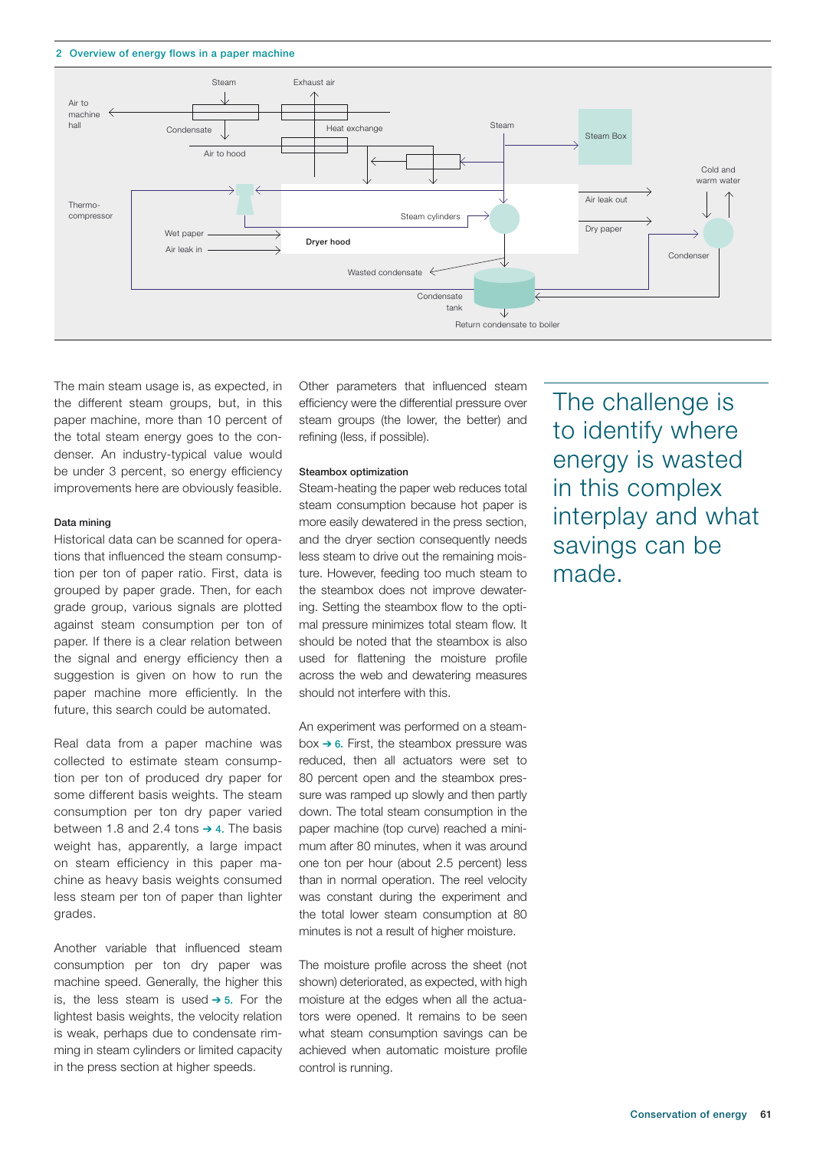#### 2 Overview of energy flows in a paper machine



The main steam usage is, as expected, in the different steam groups, but, in this paper machine, more than 10 percent of the total steam energy goes to the condenser. An industry-typical value would be under 3 percent, so energy efficiency improvements here are obviously feasible.

# Data mining

Historical data can be scanned for operations that influenced the steam consumption per ton of paper ratio. First, data is grouped by paper grade. Then, for each grade group, various signals are plotted against steam consumption per ton of paper. If there is a clear relation between the signal and energy efficiency then a suggestion is given on how to run the paper machine more efficiently. In the future, this search could be automated.

Real data from a paper machine was collected to estimate steam consumption per ton of produced dry paper for some different basis weights. The steam consumption per ton dry paper varied between 1.8 and 2.4 tons  $\rightarrow$  4. The basis weight has, apparently, a large impact on steam efficiency in this paper machine as heavy basis weights consumed less steam per ton of paper than lighter grades.

Another variable that influenced steam consumption per ton dry paper was machine speed. Generally, the higher this is, the less steam is used  $\rightarrow$  5. For the lightest basis weights, the velocity relation is weak, perhaps due to condensate rimming in steam cylinders or limited capacity in the press section at higher speeds.

Other parameters that influenced steam efficiency were the differential pressure over steam groups (the lower, the better) and refining (less, if possible).

#### Steambox optimization

Steam-heating the paper web reduces total steam consumption because hot paper is more easily dewatered in the press section, and the dryer section consequently needs less steam to drive out the remaining moisture. However, feeding too much steam to the steambox does not improve dewatering. Setting the steambox flow to the optimal pressure minimizes total steam flow. It should be noted that the steambox is also used for flattening the moisture profile across the web and dewatering measures should not interfere with this.

An experiment was performed on a steambox  $\rightarrow$  6. First, the steambox pressure was reduced, then all actuators were set to 80 percent open and the steambox pressure was ramped up slowly and then partly down. The total steam consumption in the paper machine (top curve) reached a minimum after 80 minutes, when it was around one ton per hour (about 2.5 percent) less than in normal operation. The reel velocity was constant during the experiment and the total lower steam consumption at 80 minutes is not a result of higher moisture.

The moisture profile across the sheet (not shown) deteriorated, as expected, with high moisture at the edges when all the actuators were opened. It remains to be seen what steam consumption savings can be achieved when automatic moisture profile control is running.

The challenge is to identify where energy is wasted in this complex interplay and what savings can be made.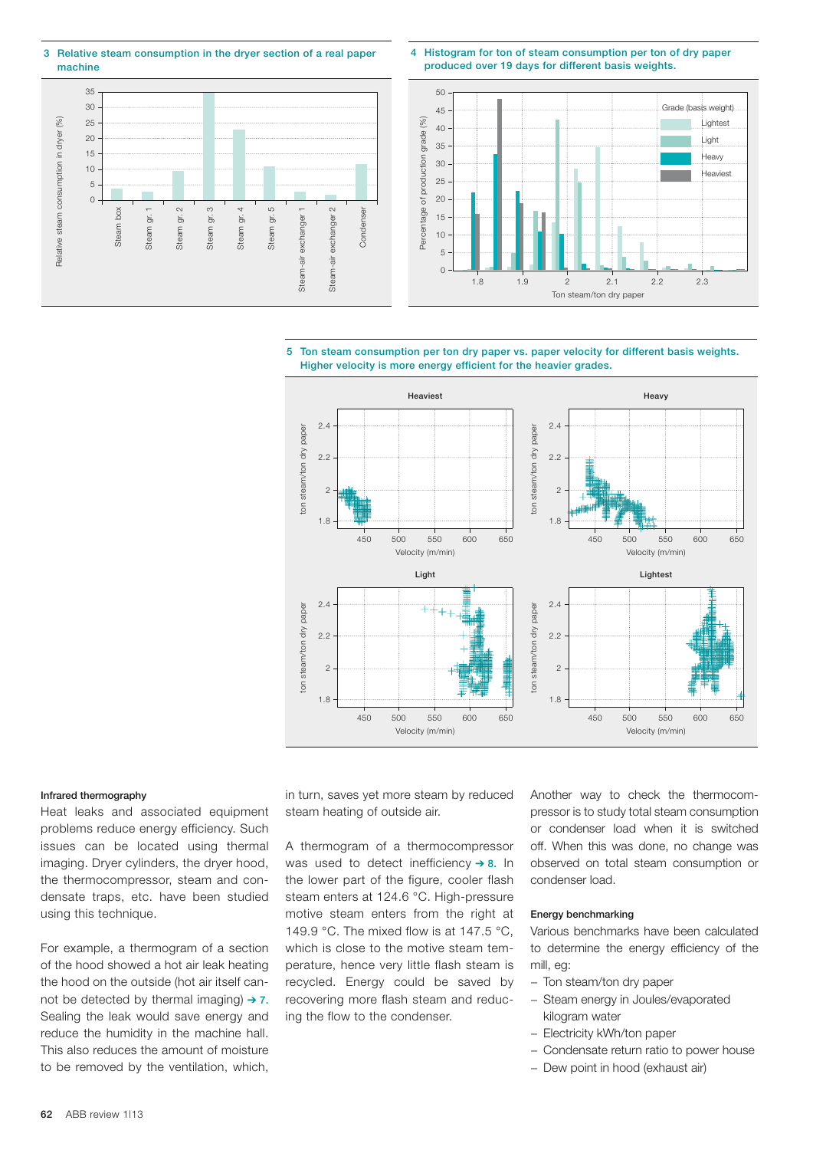3 Relative steam consumption in the dryer section of a real paper machine



4 Histogram for ton of steam consumption per ton of dry paper produced over 19 days for different basis weights.



5 Ton steam consumption per ton dry paper vs. paper velocity for different basis weights. Higher velocity is more energy efficient for the heavier grades.



#### Infrared thermography

Heat leaks and associated equipment problems reduce energy efficiency. Such issues can be located using thermal imaging. Dryer cylinders, the dryer hood, the thermocompressor, steam and condensate traps, etc. have been studied using this technique.

For example, a thermogram of a section of the hood showed a hot air leak heating the hood on the outside (hot air itself cannot be detected by thermal imaging)  $\rightarrow$  7. Sealing the leak would save energy and reduce the humidity in the machine hall. This also reduces the amount of moisture to be removed by the ventilation, which, in turn, saves yet more steam by reduced steam heating of outside air.

A thermogram of a thermocompressor was used to detect inefficiency  $\rightarrow$  8. In the lower part of the figure, cooler flash steam enters at 124.6 °C. High-pressure motive steam enters from the right at 149.9 °C. The mixed flow is at 147.5 °C, which is close to the motive steam temperature, hence very little flash steam is recycled. Energy could be saved by recovering more flash steam and reducing the flow to the condenser.

Another way to check the thermocompressor is to study total steam consumption or condenser load when it is switched off. When this was done, no change was observed on total steam consumption or condenser load.

#### Energy benchmarking

Various benchmarks have been calculated to determine the energy efficiency of the mill, eg:

- − Ton steam/ton dry paper
- − Steam energy in Joules/evaporated kilogram water
- − Electricity kWh/ton paper
- − Condensate return ratio to power house
- − Dew point in hood (exhaust air)